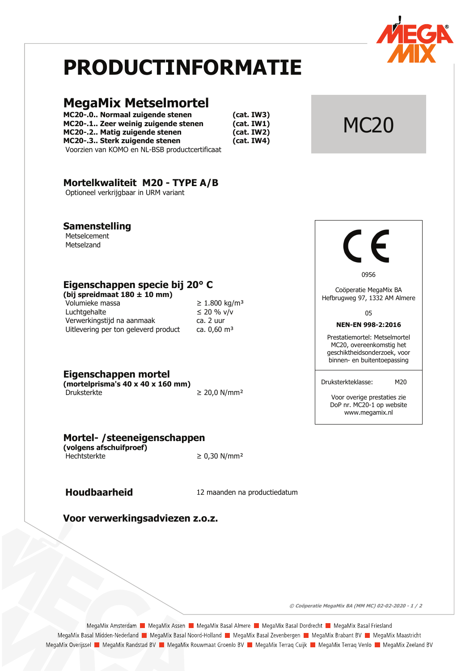

# **PRODUCTINFORMATIE**

## **MegaMix Metselmortel**

MC20-.0.. Normaal zuigende stenen MC20-.1.. Zeer weinig zuigende stenen MC20-.2.. Matig zuigende stenen MC20-.3.. Sterk zuigende stenen Voorzien van KOMO en NL-BSB productcertificaat

 $(cat. IW3)$  $(cat. IW1)$  $(cat. IW2)$  $(cat. IWA)$ 

## Mortelkwaliteit M20 - TYPE A/B

Optioneel verkrijgbaar in URM variant

### **Samenstelling**

Metselcement Metselzand

## Eigenschappen specie bij 20° C

(bij spreidmaat  $180 \pm 10$  mm) Volumieke massa Luchtgehalte Verwerkingstijd na aanmaak Uitlevering per ton geleverd product

| ≥ 1.800 kg/m <sup>:</sup> |
|---------------------------|
| ≤ 20 % v/v                |
| ca. 2 uur                 |
| ca. 0,60 mª               |

Eigenschappen mortel

(mortelprisma's  $40 \times 40 \times 160$  mm) Druksterkte

 $\geq$  20,0 N/mm<sup>2</sup>

## Mortel- / steeneigenschappen

(volgens afschuifproef) Hechtsterkte

 $\geq 0.30$  N/mm<sup>2</sup>

## **Houdbaarheid**

12 maanden na productiedatum

Voor verwerkingsadviezen z.o.z.



**MC20** 

0956

Coöperatie MegaMix BA Hefbrugweg 97, 1332 AM Almere

05

#### NEN-EN 998-2:2016

Prestatiemortel: Metselmortel MC20, overeenkomstig het geschiktheidsonderzoek, voor binnen- en buitentoepassing

Druksterkteklasse:

Voor overige prestaties zie DoP nr. MC20-1 op website www.megamix.nl

M20

© Coöperatie MegaMix BA (MM MC) 02-02-2020 - 1 / 2

MegaMix Amsterdam | MegaMix Assen | MegaMix Basal Almere | MegaMix Basal Dordrecht | MegaMix Basal Friesland MegaMix Basal Midden-Nederland | MegaMix Basal Noord-Holland | MegaMix Basal Zevenbergen | MegaMix Brabant BV | MegaMix Maastricht MegaMix Overijssel **Da** MegaMix Randstad BV **Da** MegaMix Rouwmaat Groenlo BV **Da** MegaMix Terraq Cuijk **Da** MegaMix Terraq Venlo **Da MegaMix Zeeland BV**